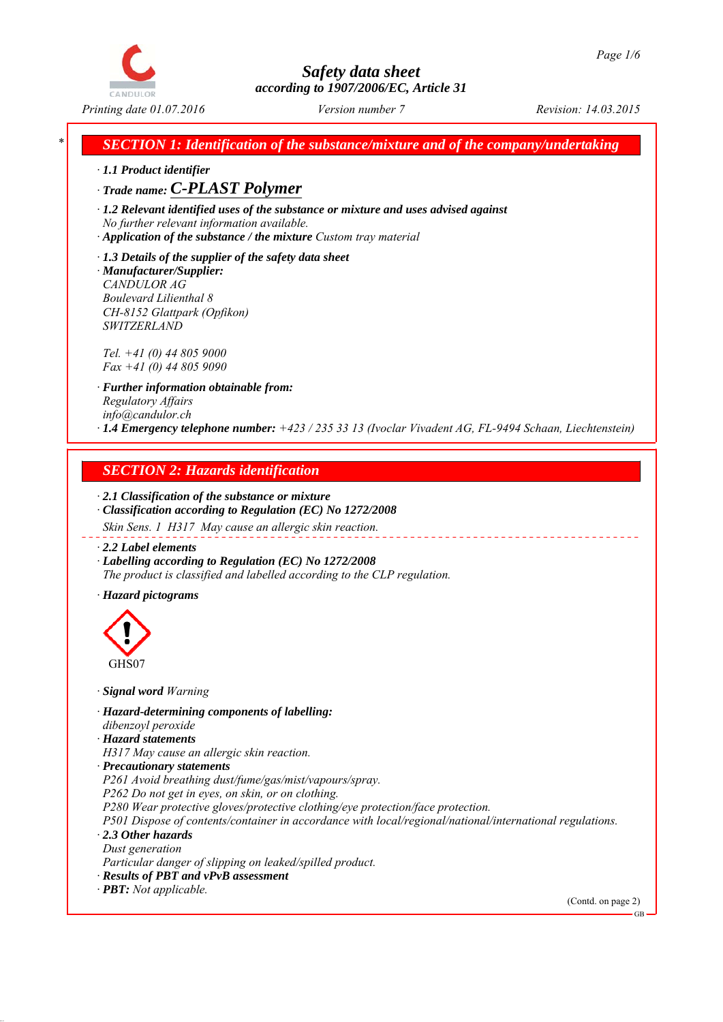

*Printing date 01.07.2016 Revision: 14.03.2015 Version number 7*

*SECTION 1: Identification of the substance/mixture and of the company/undertaking* 

*∙ 1.1 Product identifier*

*∙ Trade name: C-PLAST Polymer*

*∙ 1.2 Relevant identified uses of the substance or mixture and uses advised against No further relevant information available.*

*∙ Application of the substance / the mixture Custom tray material*

*∙ 1.3 Details of the supplier of the safety data sheet ∙ Manufacturer/Supplier: CANDULOR AG Boulevard Lilienthal 8 CH-8152 Glattpark (Opfikon) SWITZERLAND*

*Tel. +41 (0) 44 805 9000 Fax +41 (0) 44 805 9090*

*∙ Further information obtainable from: Regulatory Affairs info@candulor.ch ∙ 1.4 Emergency telephone number: +423 / 235 33 13 (Ivoclar Vivadent AG, FL-9494 Schaan, Liechtenstein)*

## *SECTION 2: Hazards identification*

*∙ 2.1 Classification of the substance or mixture ∙ Classification according to Regulation (EC) No 1272/2008*

*Skin Sens. 1 H317 May cause an allergic skin reaction.*

*∙ 2.2 Label elements*

*∙ Labelling according to Regulation (EC) No 1272/2008 The product is classified and labelled according to the CLP regulation.*

*∙ Hazard pictograms*



*∙ Signal word Warning*

*∙ Hazard-determining components of labelling: dibenzoyl peroxide*

*∙ Hazard statements*

*H317 May cause an allergic skin reaction.*

*∙ Precautionary statements*

*P261 Avoid breathing dust/fume/gas/mist/vapours/spray.*

*P262 Do not get in eyes, on skin, or on clothing.*

*P280 Wear protective gloves/protective clothing/eye protection/face protection.*

*P501 Dispose of contents/container in accordance with local/regional/national/international regulations. ∙ 2.3 Other hazards*

*Dust generation*

*Particular danger of slipping on leaked/spilled product.*

*∙ Results of PBT and vPvB assessment*

*∙ PBT: Not applicable.*

(Contd. on page 2)

GB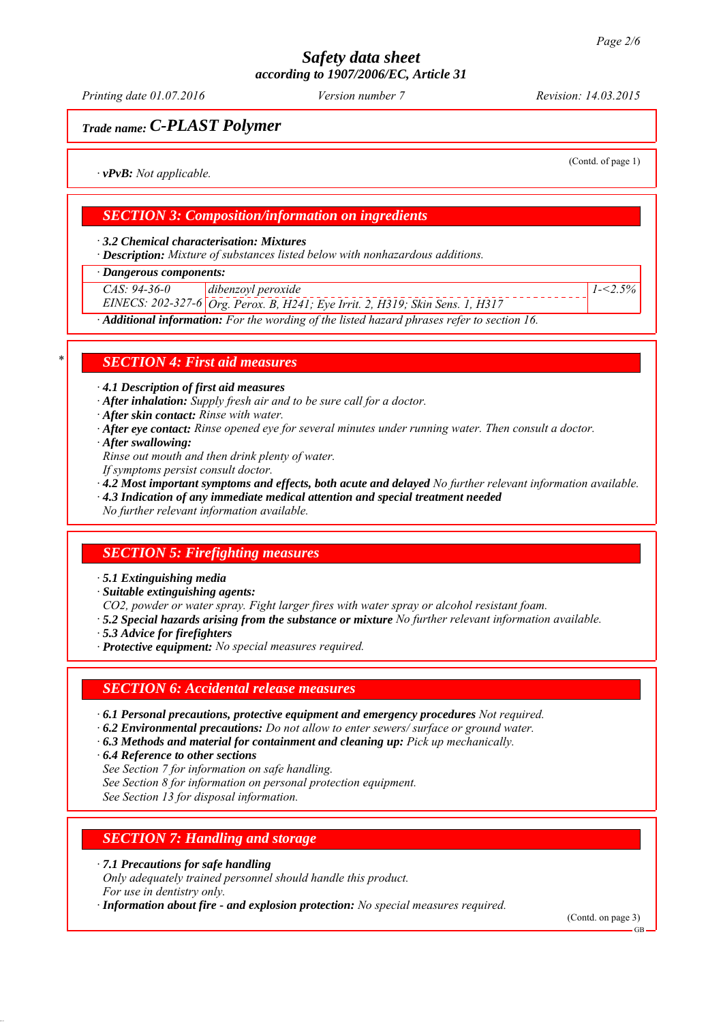*Printing date 01.07.2016 Revision: 14.03.2015 Version number 7*

## *Trade name: C-PLAST Polymer*

(Contd. of page 1)

*1-<2.5%*

*∙ vPvB: Not applicable.*

## *SECTION 3: Composition/information on ingredients*

*∙ 3.2 Chemical characterisation: Mixtures*

*∙ Description: Mixture of substances listed below with nonhazardous additions.*

*∙ Dangerous components:*

*CAS: 94-36-0 dibenzoyl peroxide*

*EINECS: 202-327-6 Org. Perox. B, H241; Eye Irrit. 2, H319; Skin Sens. 1, H317*

*∙ Additional information: For the wording of the listed hazard phrases refer to section 16.*

### *\* SECTION 4: First aid measures*

*∙ 4.1 Description of first aid measures*

*∙ After inhalation: Supply fresh air and to be sure call for a doctor.*

*∙ After skin contact: Rinse with water.*

- *∙ After eye contact: Rinse opened eye for several minutes under running water. Then consult a doctor.*
- *∙ After swallowing:*

*Rinse out mouth and then drink plenty of water.*

- *If symptoms persist consult doctor.*
- *∙ 4.2 Most important symptoms and effects, both acute and delayed No further relevant information available.*
- *∙ 4.3 Indication of any immediate medical attention and special treatment needed*

*No further relevant information available.*

### *SECTION 5: Firefighting measures*

*∙ 5.1 Extinguishing media*

*∙ Suitable extinguishing agents:*

*CO2, powder or water spray. Fight larger fires with water spray or alcohol resistant foam.*

- *∙ 5.2 Special hazards arising from the substance or mixture No further relevant information available.*
- *∙ 5.3 Advice for firefighters*
- *∙ Protective equipment: No special measures required.*

### *SECTION 6: Accidental release measures*

*∙ 6.1 Personal precautions, protective equipment and emergency procedures Not required.*

- *∙ 6.2 Environmental precautions: Do not allow to enter sewers/ surface or ground water.*
- *∙ 6.3 Methods and material for containment and cleaning up: Pick up mechanically.*
- *∙ 6.4 Reference to other sections*

*See Section 7 for information on safe handling.*

*See Section 8 for information on personal protection equipment.*

*See Section 13 for disposal information.*

## *SECTION 7: Handling and storage*

*∙ 7.1 Precautions for safe handling*

*Only adequately trained personnel should handle this product. For use in dentistry only.*

*∙ Information about fire - and explosion protection: No special measures required.*

(Contd. on page 3)

GB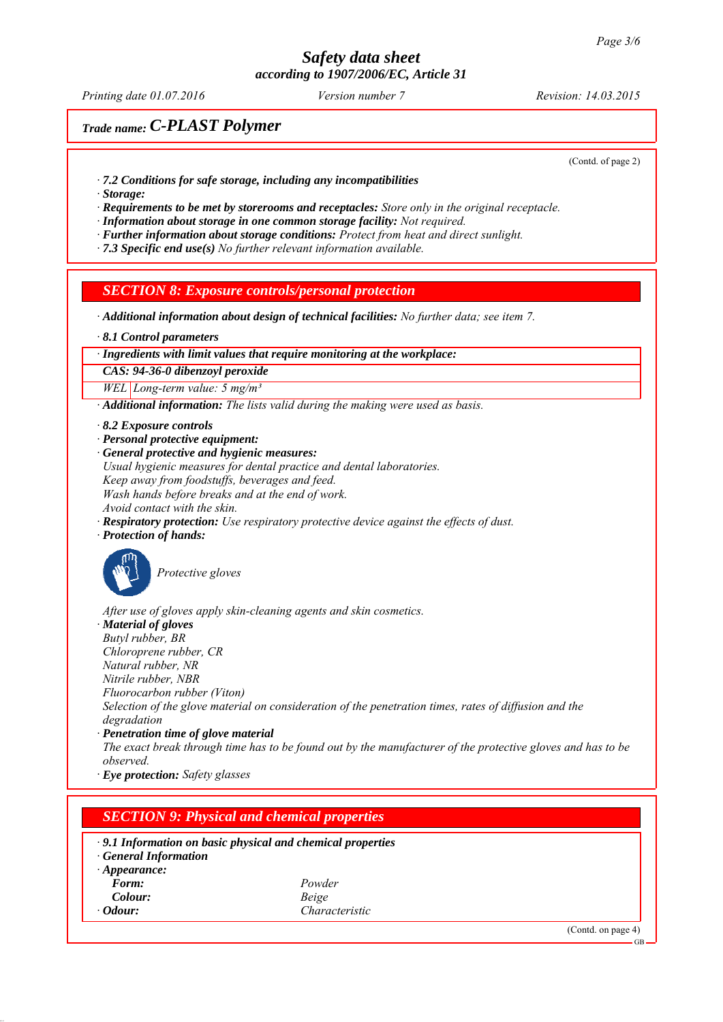*Printing date 01.07.2016 Revision: 14.03.2015 Version number 7*

## *Trade name: C-PLAST Polymer*

(Contd. of page 2)

- *∙ 7.2 Conditions for safe storage, including any incompatibilities*
- *∙ Storage:*

*∙ Requirements to be met by storerooms and receptacles: Store only in the original receptacle.*

*∙ Information about storage in one common storage facility: Not required.*

*∙ Further information about storage conditions: Protect from heat and direct sunlight.*

*∙ 7.3 Specific end use(s) No further relevant information available.*

### *SECTION 8: Exposure controls/personal protection*

*∙ Additional information about design of technical facilities: No further data; see item 7.*

*∙ 8.1 Control parameters*

*∙ Ingredients with limit values that require monitoring at the workplace:*

*CAS: 94-36-0 dibenzoyl peroxide*

*WEL Long-term value: 5 mg/m³*

*∙ Additional information: The lists valid during the making were used as basis.*

- *∙ 8.2 Exposure controls*
- *∙ Personal protective equipment:*

*∙ General protective and hygienic measures: Usual hygienic measures for dental practice and dental laboratories. Keep away from foodstuffs, beverages and feed. Wash hands before breaks and at the end of work. Avoid contact with the skin.*

*∙ Respiratory protection: Use respiratory protective device against the effects of dust.*

*∙ Protection of hands:*



*Protective gloves*

*After use of gloves apply skin-cleaning agents and skin cosmetics.*

*∙ Material of gloves*

*Butyl rubber, BR Chloroprene rubber, CR*

*Natural rubber, NR*

*Nitrile rubber, NBR*

*Fluorocarbon rubber (Viton)*

*Selection of the glove material on consideration of the penetration times, rates of diffusion and the degradation*

*∙ Penetration time of glove material*

*The exact break through time has to be found out by the manufacturer of the protective gloves and has to be observed.*

*∙ Eye protection: Safety glasses*

## *SECTION 9: Physical and chemical properties*

*∙ 9.1 Information on basic physical and chemical properties*

*∙ General Information*

*∙ Appearance:*

*Form: Powder Colour: Beige ∙ Odour: Characteristic*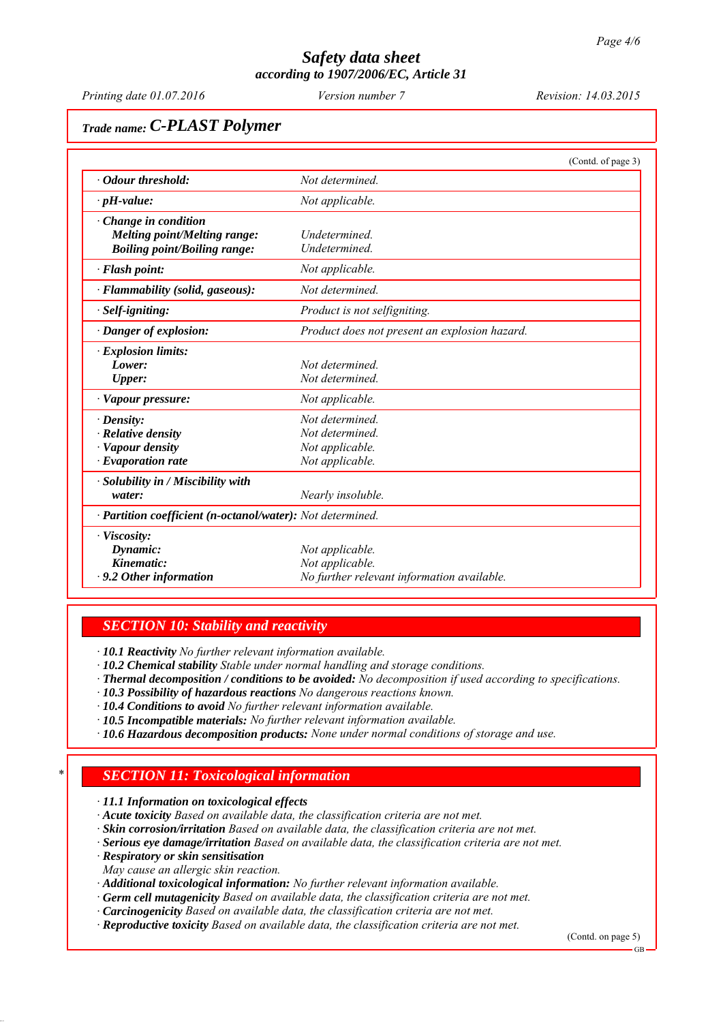*Printing date 01.07.2016 Revision: 14.03.2015 Version number 7*

# *Trade name: C-PLAST Polymer*

|                                                                                                    | (Contd. of page 3)                                                               |
|----------------------------------------------------------------------------------------------------|----------------------------------------------------------------------------------|
| • Odour threshold:                                                                                 | Not determined                                                                   |
| $\cdot$ pH-value:                                                                                  | Not applicable.                                                                  |
| $\cdot$ Change in condition<br>Melting point/Melting range:<br><b>Boiling point/Boiling range:</b> | Undetermined.<br>Undetermined.                                                   |
| $\cdot$ Flash point:                                                                               | Not applicable.                                                                  |
| · Flammability (solid, gaseous):                                                                   | Not determined.                                                                  |
| · Self-igniting:                                                                                   | Product is not selfigniting.                                                     |
| · Danger of explosion:                                                                             | Product does not present an explosion hazard.                                    |
| $\cdot$ Explosion limits:<br>Lower:<br>Upper:                                                      | Not determined<br>Not determined.                                                |
| · Vapour pressure:                                                                                 | Not applicable.                                                                  |
| $\cdot$ Density:<br>$\cdot$ Relative density<br>· Vapour density<br>$\cdot$ Evaporation rate       | Not determined.<br>Not determined<br>Not applicable.<br>Not applicable.          |
| · Solubility in / Miscibility with<br>water:                                                       | Nearly insoluble.                                                                |
| · Partition coefficient (n-octanol/water): Not determined.                                         |                                                                                  |
| · Viscosity:<br>Dynamic:<br>Kinematic:<br>$\cdot$ 9.2 Other information                            | Not applicable.<br>Not applicable.<br>No further relevant information available. |

### *SECTION 10: Stability and reactivity*

*∙ 10.1 Reactivity No further relevant information available.*

*∙ 10.2 Chemical stability Stable under normal handling and storage conditions.*

*∙ Thermal decomposition / conditions to be avoided: No decomposition if used according to specifications.*

*∙ 10.3 Possibility of hazardous reactions No dangerous reactions known.*

*∙ 10.4 Conditions to avoid No further relevant information available.*

*∙ 10.5 Incompatible materials: No further relevant information available.*

*∙ 10.6 Hazardous decomposition products: None under normal conditions of storage and use.*

## *\* SECTION 11: Toxicological information*

*∙ 11.1 Information on toxicological effects*

*∙ Acute toxicity Based on available data, the classification criteria are not met.*

*∙ Skin corrosion/irritation Based on available data, the classification criteria are not met.*

*∙ Serious eye damage/irritation Based on available data, the classification criteria are not met.*

*∙ Respiratory or skin sensitisation*

*May cause an allergic skin reaction.*

*∙ Additional toxicological information: No further relevant information available.*

*∙ Germ cell mutagenicity Based on available data, the classification criteria are not met.*

*∙ Carcinogenicity Based on available data, the classification criteria are not met.*

*∙ Reproductive toxicity Based on available data, the classification criteria are not met.*

(Contd. on page 5)

GB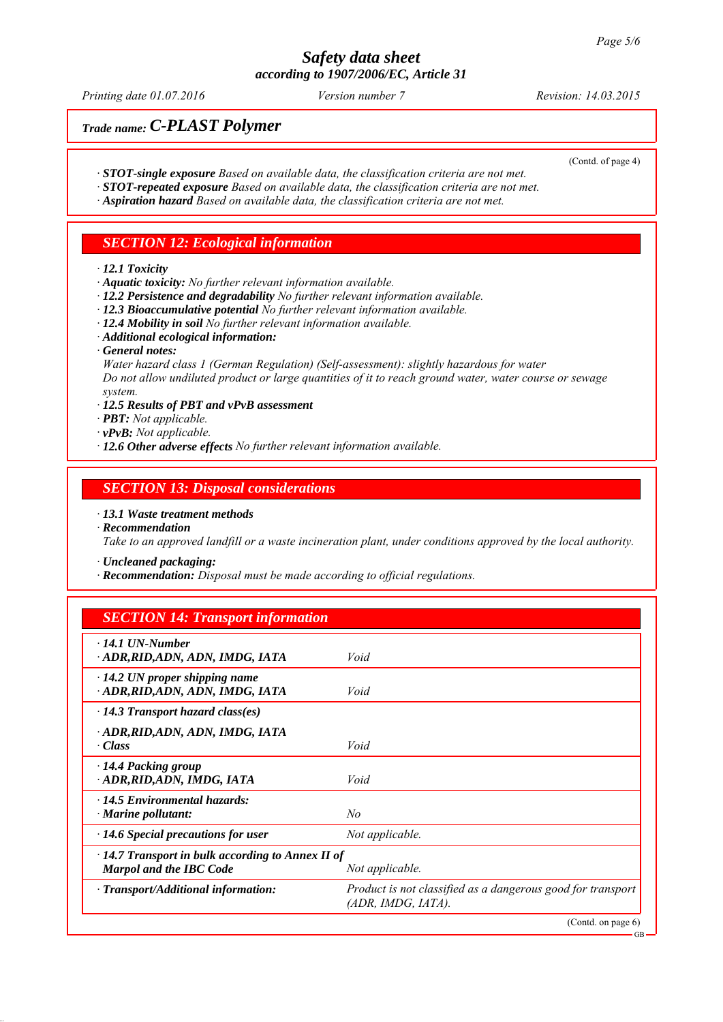*Printing date 01.07.2016 Revision: 14.03.2015 Version number 7*

(Contd. of page 4)

GB

## *Trade name: C-PLAST Polymer*

- *∙ STOT-single exposure Based on available data, the classification criteria are not met.*
- *∙ STOT-repeated exposure Based on available data, the classification criteria are not met.*
- *∙ Aspiration hazard Based on available data, the classification criteria are not met.*

### *SECTION 12: Ecological information*

*∙ 12.1 Toxicity*

- *∙ Aquatic toxicity: No further relevant information available.*
- *∙ 12.2 Persistence and degradability No further relevant information available.*
- *∙ 12.3 Bioaccumulative potential No further relevant information available.*
- *∙ 12.4 Mobility in soil No further relevant information available.*
- *∙ Additional ecological information:*
- *∙ General notes:*

*Water hazard class 1 (German Regulation) (Self-assessment): slightly hazardous for water Do not allow undiluted product or large quantities of it to reach ground water, water course or sewage system.*

*∙ 12.5 Results of PBT and vPvB assessment*

*∙ PBT: Not applicable.*

- *∙ vPvB: Not applicable.*
- *∙ 12.6 Other adverse effects No further relevant information available.*

### *SECTION 13: Disposal considerations*

*∙ 13.1 Waste treatment methods*

*∙ Recommendation*

*Take to an approved landfill or a waste incineration plant, under conditions approved by the local authority.*

*∙ Uncleaned packaging:*

*∙ Recommendation: Disposal must be made according to official regulations.*

### *SECTION 14: Transport information*

| $\cdot$ 14.1 UN-Number<br>· ADR, RID, ADN, ADN, IMDG, IATA                                                   | Void                                                                              |  |
|--------------------------------------------------------------------------------------------------------------|-----------------------------------------------------------------------------------|--|
| $\cdot$ 14.2 UN proper shipping name<br>ADR, RID, ADN, ADN, IMDG, IATA                                       | Void                                                                              |  |
| $\cdot$ 14.3 Transport hazard class(es)                                                                      |                                                                                   |  |
| · ADR, RID, ADN, ADN, IMDG, IATA<br>· Class                                                                  | Void                                                                              |  |
| $\cdot$ 14.4 Packing group<br>· ADR, RID, ADN, IMDG, IATA                                                    | Void                                                                              |  |
| $\cdot$ 14.5 Environmental hazards:<br>$\cdot$ Marine pollutant:                                             | No                                                                                |  |
| $\cdot$ 14.6 Special precautions for user                                                                    | Not applicable.                                                                   |  |
| $\cdot$ 14.7 Transport in bulk according to Annex II of<br><b>Marpol and the IBC Code</b><br>Not applicable. |                                                                                   |  |
| · Transport/Additional information:                                                                          | Product is not classified as a dangerous good for transport<br>(ADR, IMDG, IATA). |  |
|                                                                                                              | (Contd. on page $6$ )                                                             |  |